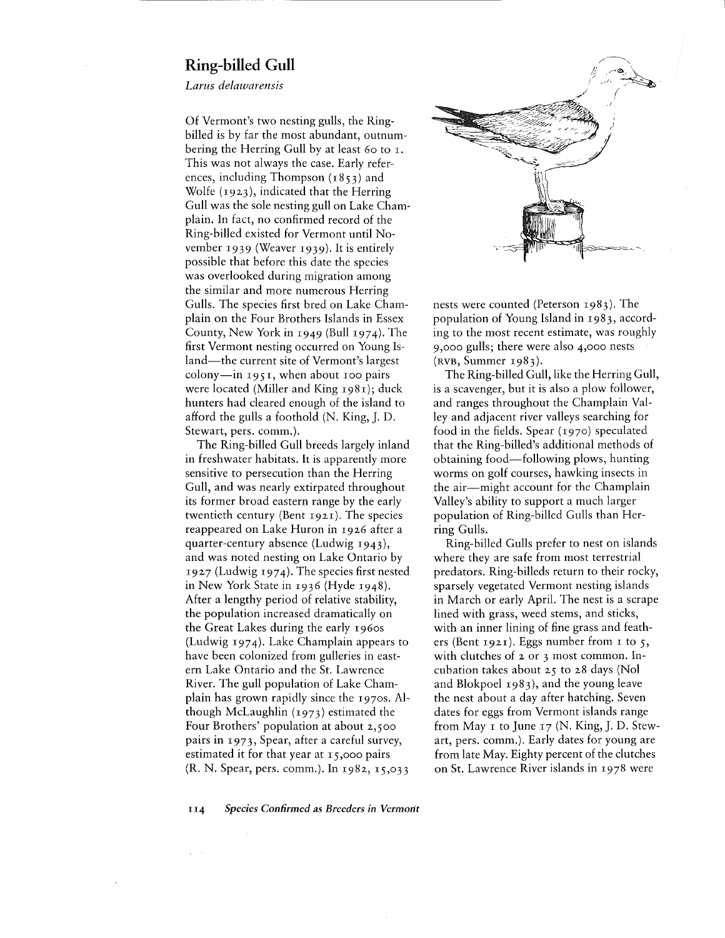## **Ring-billed Gull**

*Lams delawarensis*

Of Vermont's two nesting gulls, the Ringbilled is by far the most abundant, outnumbering the Herring Gull by at least 60 to 1. This was not always the case. Early references, including Thompson  $(1853)$  and Wolfe (1923), indicated that the Herring Gull was the sole nesting gull on Lake Champlain. In fact, no confirmed record of the Ring-billed existed for Vermont until November 1939 (Weaver 1939). It is entirely possible that before this date the species was overlooked during migration among the similar and more numerous Herring Gulls. The species first bred on Lake Champlain on the Four Brothers Islands in Essex County, New York in 1949 (Bull 1974). The first Vermont nesting occurred on Young Island—the current site of Vermont's largest  $\text{colony}$ —in 1951, when about 100 pairs were located (Miller and King 1981); duck hunters had cleared enough of the island to afford the gulls a foothold (N. King, J. D. Stewart, pers. comm.).

The Ring-billed Gull breeds largely inland in freshwater habitats. It is apparently more sensitive to persecution than the Herring Gull, and was nearly extirpated throughout its former broad eastern range by the early twentieth century (Bent 1921). The species reappeared on Lake Huron in 1926 after a quarter-century absence (Ludwig 1943), and was noted nesting on Lake Ontario by 1927 (Ludwig 1974). The species first nested in New York State in 1936 (Hyde 1948). After a lengthy period of relative stability, the population increased dramatically on the Great Lakes during the early 1960s (Ludwig 1974). Lake Champlain appears to have been colonized from gulleries in eastern Lake Ontario and the St. Lawrence River. The gull population of Lake Champlain has grown rapidly since the 1970s. Although McLaughlin (1973) estimated the Four Brothers' population at about 2,500 pairs in 1973, Spear, after a careful survey, estimated it for that year at  $15,000$  pairs (R. N. Spear, pers. comm.). In 1982, 15,033



nests were counted (Peterson 1983). The population of Young Island in 1983, according to the most recent estimate, was roughly 9,000 gulls; there were also 4,000 nests  $(RVB, Summer_1983).$ 

The Ring-billed Gull, like the Herring Gull, is a scavenger, but it is also a plow follower, and ranges throughout the Champlain Valley and adjacent river valleys searching for food in the fields. Spear (1970) speculated that the Ring-billed's additional methods of obtaining food—following plows, hunting worms on golf courses, hawking insects in the air-might account for the Champlain Valley's ability to support a much larger population of Ring-billed Gulls than Herring Gulls.

Ring-billed Gulls prefer to nest on islands where they are safe from most terrestrial predators. Ring-billeds return to their rocky, sparsely vegetated Vermont nesting islands in March or early April. The nest is a scrape lined with grass, weed stems, and sticks, with an inner lining of fine grass and feathers (Bent 1921). Eggs number from 1 to 5, with clutches of 2 or 3 most common. Incubation takes about 25 to 28 days (Nol and Blokpoel 1983), and the young leave the nest about a day after hatching. Seven dates for eggs from Vermont islands range from May  $\texttt{I}$  to June  $\texttt{I}$   $\texttt{7}$  (N. King, J. D. Stewart, pers. comm.). Early dates for young are from late May. Eighty percent of the clutches on St. Lawrence River islands in 1978 were

II4 *Species Confirmed as Breeders in Vermont*